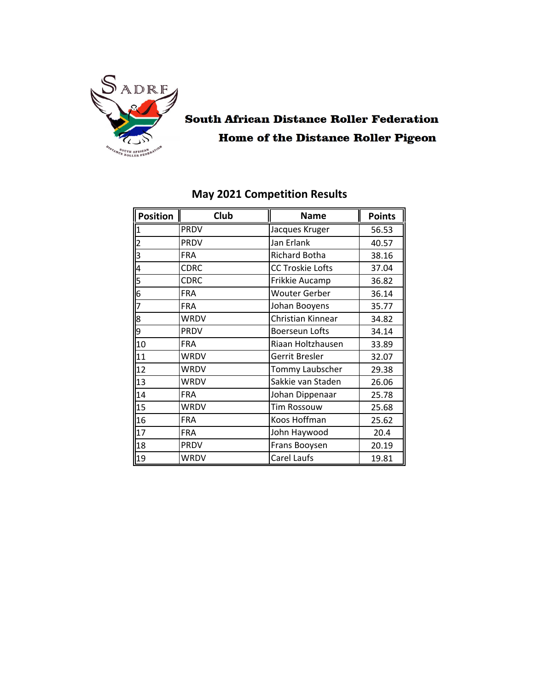

# **South African Distance Roller Federation Home of the Distance Roller Pigeon**

| <b>Position</b> | Club        | <b>Name</b>             | <b>Points</b> |
|-----------------|-------------|-------------------------|---------------|
| $\vert$ 1       | <b>PRDV</b> | Jacques Kruger          | 56.53         |
| $\overline{2}$  | <b>PRDV</b> | Jan Erlank              | 40.57         |
| 3               | <b>FRA</b>  | <b>Richard Botha</b>    | 38.16         |
| $\overline{4}$  | <b>CDRC</b> | <b>CC Troskie Lofts</b> | 37.04         |
| $\overline{5}$  | <b>CDRC</b> | Frikkie Aucamp          | 36.82         |
| $\overline{6}$  | <b>FRA</b>  | <b>Wouter Gerber</b>    | 36.14         |
| 7               | <b>FRA</b>  | Johan Booyens           | 35.77         |
| 8               | <b>WRDV</b> | Christian Kinnear       | 34.82         |
| 9               | <b>PRDV</b> | <b>Boerseun Lofts</b>   | 34.14         |
| 10              | <b>FRA</b>  | Riaan Holtzhausen       | 33.89         |
| 11              | <b>WRDV</b> | Gerrit Bresler          | 32.07         |
| $\overline{12}$ | <b>WRDV</b> | Tommy Laubscher         | 29.38         |
| 13              | <b>WRDV</b> | Sakkie van Staden       | 26.06         |
| 14              | <b>FRA</b>  | Johan Dippenaar         | 25.78         |
| 15              | <b>WRDV</b> | <b>Tim Rossouw</b>      | 25.68         |
| 16              | <b>FRA</b>  | Koos Hoffman            | 25.62         |
| 17              | <b>FRA</b>  | John Haywood            | 20.4          |
| 18              | PRDV        | Frans Booysen           | 20.19         |
| 19              | WRDV        | Carel Laufs<br>19.81    |               |

### May 2021 Competition Results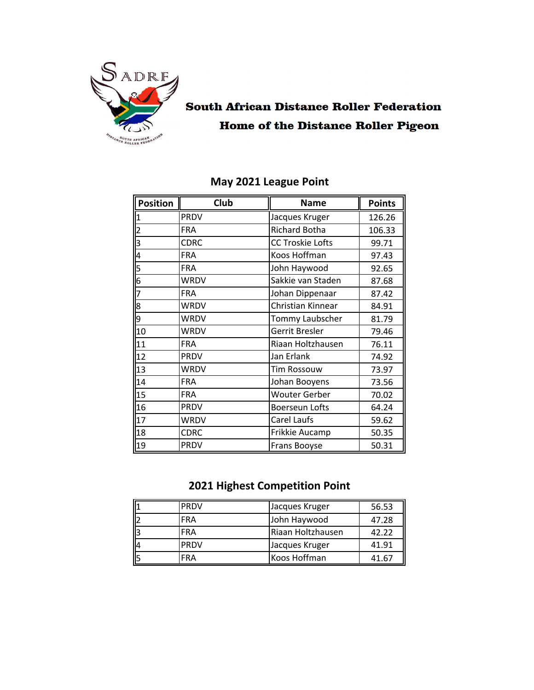

# **South African Distance Roller Federation Home of the Distance Roller Pigeon**

| <b>Position</b>         | Club        | <b>Name</b>             | <b>Points</b> |
|-------------------------|-------------|-------------------------|---------------|
| 1                       | <b>PRDV</b> | Jacques Kruger          | 126.26        |
| $\overline{2}$          | <b>FRA</b>  | <b>Richard Botha</b>    | 106.33        |
| $\overline{\mathsf{3}}$ | <b>CDRC</b> | <b>CC Troskie Lofts</b> | 99.71         |
| 4                       | <b>FRA</b>  | Koos Hoffman            | 97.43         |
| $\overline{5}$          | <b>FRA</b>  | John Haywood            | 92.65         |
| $\overline{6}$          | WRDV        | Sakkie van Staden       | 87.68         |
| 7                       | <b>FRA</b>  | Johan Dippenaar         | 87.42         |
| 8                       | <b>WRDV</b> | Christian Kinnear       | 84.91         |
| 9                       | <b>WRDV</b> | Tommy Laubscher         | 81.79         |
| 10                      | <b>WRDV</b> | Gerrit Bresler          | 79.46         |
| 11                      | <b>FRA</b>  | Riaan Holtzhausen       | 76.11         |
| $\overline{12}$         | <b>PRDV</b> | Jan Erlank              | 74.92         |
| 13                      | <b>WRDV</b> | <b>Tim Rossouw</b>      | 73.97         |
| 14                      | <b>FRA</b>  | Johan Booyens           | 73.56         |
| 15                      | <b>FRA</b>  | <b>Wouter Gerber</b>    | 70.02         |
| 16                      | <b>PRDV</b> | <b>Boerseun Lofts</b>   | 64.24         |
| 17                      | <b>WRDV</b> | Carel Laufs             | 59.62         |
| 18                      | <b>CDRC</b> | Frikkie Aucamp          | 50.35         |
| 19                      | <b>PRDV</b> | 50.31<br>Frans Booyse   |               |

### May 2021 League Point

### 2021 Highest Competition Point

| <b>IPRDV</b> | Jacques Kruger    | 56.53 |
|--------------|-------------------|-------|
| FRA          | John Haywood      | 47.28 |
| <b>FRA</b>   | Riaan Holtzhausen | 42.22 |
| <b>PRDV</b>  | Jacques Kruger    | 41.91 |
| FRA          | Koos Hoffman      | 41.67 |